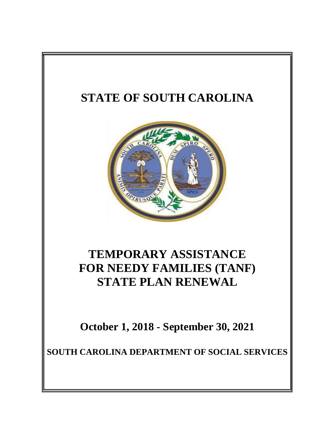# **STATE OF SOUTH CAROLINA**



# **TEMPORARY ASSISTANCE FOR NEEDY FAMILIES (TANF) STATE PLAN RENEWAL**

**October 1, 2018 - September 30, 2021**

**SOUTH CAROLINA DEPARTMENT OF SOCIAL SERVICES**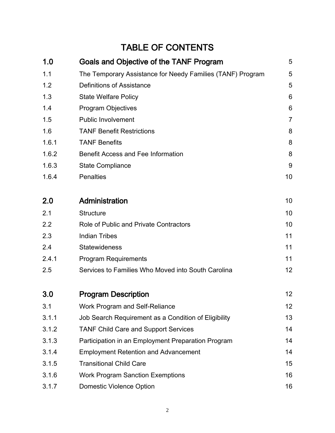## TABLE OF CONTENTS

| 1.0   | <b>Goals and Objective of the TANF Program</b>             | 5              |
|-------|------------------------------------------------------------|----------------|
| 1.1   | The Temporary Assistance for Needy Families (TANF) Program | 5              |
| 1.2   | <b>Definitions of Assistance</b>                           | 5              |
| 1.3   | <b>State Welfare Policy</b>                                | 6              |
| 1.4   | <b>Program Objectives</b>                                  | 6              |
| 1.5   | <b>Public Involvement</b>                                  | $\overline{7}$ |
| 1.6   | <b>TANF Benefit Restrictions</b>                           | 8              |
| 1.6.1 | <b>TANF Benefits</b>                                       | 8              |
| 1.6.2 | <b>Benefit Access and Fee Information</b>                  | 8              |
| 1.6.3 | <b>State Compliance</b>                                    | 9              |
| 1.6.4 | <b>Penalties</b>                                           | 10             |
| 2.0   | Administration                                             | 10             |
| 2.1   | <b>Structure</b>                                           | 10             |
| 2.2   | <b>Role of Public and Private Contractors</b>              | 10             |
| 2.3   | <b>Indian Tribes</b>                                       | 11             |
| 2.4   | <b>Statewideness</b>                                       | 11             |
| 2.4.1 | <b>Program Requirements</b>                                | 11             |
| 2.5   | Services to Families Who Moved into South Carolina         | 12             |
| 3.0   | <b>Program Description</b>                                 | 12             |
| 3.1   | Work Program and Self-Reliance                             | 12             |
| 3.1.1 | Job Search Requirement as a Condition of Eligibility       | 13             |
| 3.1.2 | <b>TANF Child Care and Support Services</b>                | 14             |
| 3.1.3 | Participation in an Employment Preparation Program         | 14             |
| 3.1.4 | <b>Employment Retention and Advancement</b>                | 14             |
| 3.1.5 | <b>Transitional Child Care</b>                             | 15             |
| 3.1.6 | <b>Work Program Sanction Exemptions</b>                    | 16             |
| 3.1.7 | <b>Domestic Violence Option</b>                            | 16             |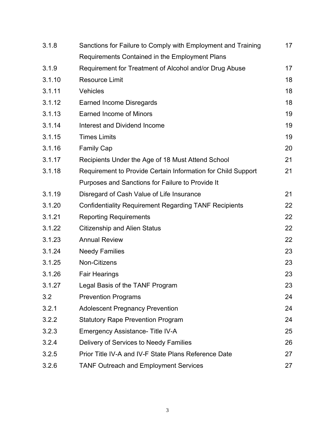| 3.1.8  | Sanctions for Failure to Comply with Employment and Training |    |  |  |
|--------|--------------------------------------------------------------|----|--|--|
|        | Requirements Contained in the Employment Plans               |    |  |  |
| 3.1.9  | Requirement for Treatment of Alcohol and/or Drug Abuse       | 17 |  |  |
| 3.1.10 | <b>Resource Limit</b>                                        | 18 |  |  |
| 3.1.11 | Vehicles                                                     | 18 |  |  |
| 3.1.12 | <b>Earned Income Disregards</b>                              | 18 |  |  |
| 3.1.13 | <b>Earned Income of Minors</b>                               | 19 |  |  |
| 3.1.14 | Interest and Dividend Income                                 | 19 |  |  |
| 3.1.15 | <b>Times Limits</b>                                          | 19 |  |  |
| 3.1.16 | <b>Family Cap</b>                                            | 20 |  |  |
| 3.1.17 | Recipients Under the Age of 18 Must Attend School            | 21 |  |  |
| 3.1.18 | Requirement to Provide Certain Information for Child Support | 21 |  |  |
|        | Purposes and Sanctions for Failure to Provide It             |    |  |  |
| 3.1.19 | Disregard of Cash Value of Life Insurance                    | 21 |  |  |
| 3.1.20 | <b>Confidentiality Requirement Regarding TANF Recipients</b> | 22 |  |  |
| 3.1.21 | <b>Reporting Requirements</b>                                | 22 |  |  |
| 3.1.22 | <b>Citizenship and Alien Status</b>                          | 22 |  |  |
| 3.1.23 | <b>Annual Review</b>                                         | 22 |  |  |
| 3.1.24 | <b>Needy Families</b>                                        | 23 |  |  |
| 3.1.25 | Non-Citizens                                                 | 23 |  |  |
| 3.1.26 | <b>Fair Hearings</b>                                         | 23 |  |  |
| 3.1.27 | Legal Basis of the TANF Program                              | 23 |  |  |
| 3.2    | <b>Prevention Programs</b>                                   | 24 |  |  |
| 3.2.1  | <b>Adolescent Pregnancy Prevention</b>                       | 24 |  |  |
| 3.2.2  | <b>Statutory Rape Prevention Program</b>                     | 24 |  |  |
| 3.2.3  | Emergency Assistance- Title IV-A                             | 25 |  |  |
| 3.2.4  | Delivery of Services to Needy Families                       | 26 |  |  |
| 3.2.5  | Prior Title IV-A and IV-F State Plans Reference Date         | 27 |  |  |
| 3.2.6  | <b>TANF Outreach and Employment Services</b>                 | 27 |  |  |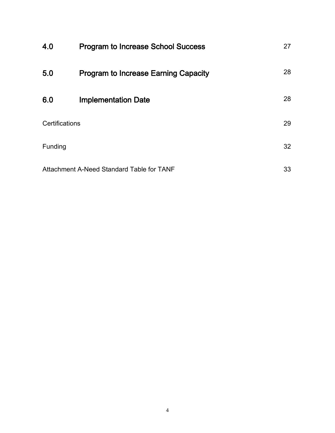| 4.0                                       | <b>Program to Increase School Success</b>   | 27 |
|-------------------------------------------|---------------------------------------------|----|
| 5.0                                       | <b>Program to Increase Earning Capacity</b> | 28 |
| 6.0                                       | <b>Implementation Date</b>                  | 28 |
| Certifications                            |                                             | 29 |
| Funding                                   |                                             | 32 |
| Attachment A-Need Standard Table for TANF |                                             | 33 |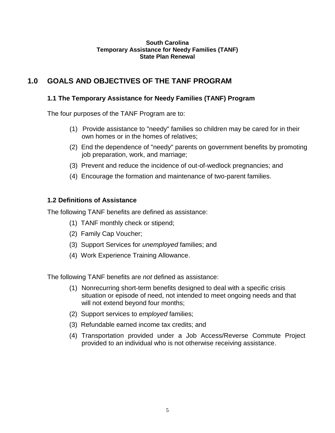#### **South Carolina Temporary Assistance for Needy Families (TANF) State Plan Renewal**

## **1.0 GOALS AND OBJECTIVES OF THE TANF PROGRAM**

#### **1.1 The Temporary Assistance for Needy Families (TANF) Program**

The four purposes of the TANF Program are to:

- (1) Provide assistance to "needy" families so children may be cared for in their own homes or in the homes of relatives;
- (2) End the dependence of "needy" parents on government benefits by promoting job preparation, work, and marriage;
- (3) Prevent and reduce the incidence of out-of-wedlock pregnancies; and
- (4) Encourage the formation and maintenance of two-parent families.

#### **1.2 Definitions of Assistance**

The following TANF benefits are defined as assistance:

- (1) TANF monthly check or stipend;
- (2) Family Cap Voucher;
- (3) Support Services for *unemployed* families; and
- (4) Work Experience Training Allowance.

The following TANF benefits are *not* defined as assistance:

- (1) Nonrecurring short-term benefits designed to deal with a specific crisis situation or episode of need, not intended to meet ongoing needs and that will not extend beyond four months;
- (2) Support services to *employed* families;
- (3) Refundable earned income tax credits; and
- (4) Transportation provided under a Job Access/Reverse Commute Project provided to an individual who is not otherwise receiving assistance.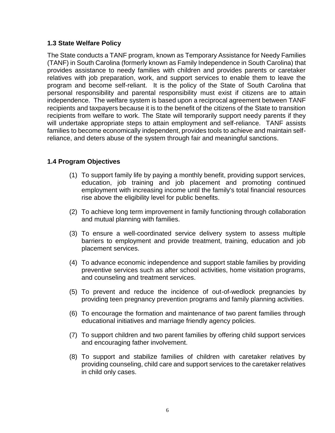#### **1.3 State Welfare Policy**

The State conducts a TANF program, known as Temporary Assistance for Needy Families (TANF) in South Carolina (formerly known as Family Independence in South Carolina) that provides assistance to needy families with children and provides parents or caretaker relatives with job preparation, work, and support services to enable them to leave the program and become self-reliant. It is the policy of the State of South Carolina that personal responsibility and parental responsibility must exist if citizens are to attain independence. The welfare system is based upon a reciprocal agreement between TANF recipients and taxpayers because it is to the benefit of the citizens of the State to transition recipients from welfare to work. The State will temporarily support needy parents if they will undertake appropriate steps to attain employment and self-reliance. TANF assists families to become economically independent, provides tools to achieve and maintain selfreliance, and deters abuse of the system through fair and meaningful sanctions.

#### **1.4 Program Objectives**

- (1) To support family life by paying a monthly benefit, providing support services, education, job training and job placement and promoting continued employment with increasing income until the family's total financial resources rise above the eligibility level for public benefits.
- (2) To achieve long term improvement in family functioning through collaboration and mutual planning with families.
- (3) To ensure a well-coordinated service delivery system to assess multiple barriers to employment and provide treatment, training, education and job placement services.
- (4) To advance economic independence and support stable families by providing preventive services such as after school activities, home visitation programs, and counseling and treatment services.
- (5) To prevent and reduce the incidence of out-of-wedlock pregnancies by providing teen pregnancy prevention programs and family planning activities.
- (6) To encourage the formation and maintenance of two parent families through educational initiatives and marriage friendly agency policies.
- (7) To support children and two parent families by offering child support services and encouraging father involvement.
- (8) To support and stabilize families of children with caretaker relatives by providing counseling, child care and support services to the caretaker relatives in child only cases.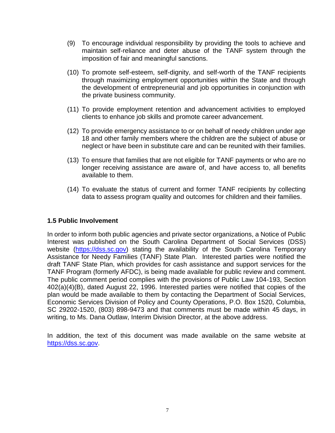- (9) To encourage individual responsibility by providing the tools to achieve and maintain self-reliance and deter abuse of the TANF system through the imposition of fair and meaningful sanctions.
- (10) To promote self-esteem, self-dignity, and self-worth of the TANF recipients through maximizing employment opportunities within the State and through the development of entrepreneurial and job opportunities in conjunction with the private business community.
- (11) To provide employment retention and advancement activities to employed clients to enhance job skills and promote career advancement.
- (12) To provide emergency assistance to or on behalf of needy children under age 18 and other family members where the children are the subject of abuse or neglect or have been in substitute care and can be reunited with their families.
- (13) To ensure that families that are not eligible for TANF payments or who are no longer receiving assistance are aware of, and have access to, all benefits available to them.
- (14) To evaluate the status of current and former TANF recipients by collecting data to assess program quality and outcomes for children and their families.

#### **1.5 Public Involvement**

In order to inform both public agencies and private sector organizations, a Notice of Public Interest was published on the South Carolina Department of Social Services (DSS) website [\(https://dss.sc.gov\)](https://dss.sc.gov/) stating the availability of the South Carolina Temporary Assistance for Needy Families (TANF) State Plan. Interested parties were notified the draft TANF State Plan, which provides for cash assistance and support services for the TANF Program (formerly AFDC), is being made available for public review and comment. The public comment period complies with the provisions of Public Law 104-193, Section 402(a)(4)(B), dated August 22, 1996. Interested parties were notified that copies of the plan would be made available to them by contacting the Department of Social Services, Economic Services Division of Policy and County Operations, P.O. Box 1520, Columbia, SC 29202-1520, (803) 898-9473 and that comments must be made within 45 days, in writing, to Ms. Dana Outlaw, Interim Division Director, at the above address.

In addition, the text of this document was made available on the same website at [https://dss.sc.gov.](http://www.state.sc.us/dss)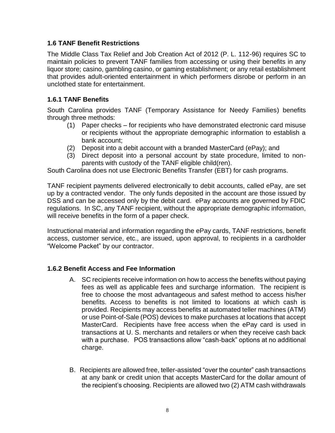#### **1.6 TANF Benefit Restrictions**

The Middle Class Tax Relief and Job Creation Act of 2012 (P. L. 112-96) requires SC to maintain policies to prevent TANF families from accessing or using their benefits in any liquor store; casino, gambling casino, or gaming establishment; or any retail establishment that provides adult-oriented entertainment in which performers disrobe or perform in an unclothed state for entertainment.

## **1.6.1 TANF Benefits**

South Carolina provides TANF (Temporary Assistance for Needy Families) benefits through three methods:

- (1) Paper checks for recipients who have demonstrated electronic card misuse or recipients without the appropriate demographic information to establish a bank account;
- (2) Deposit into a debit account with a branded MasterCard (ePay); and
- (3) Direct deposit into a personal account by state procedure, limited to nonparents with custody of the TANF eligible child(ren).

South Carolina does not use Electronic Benefits Transfer (EBT) for cash programs.

TANF recipient payments delivered electronically to debit accounts, called ePay, are set up by a contracted vendor. The only funds deposited in the account are those issued by DSS and can be accessed only by the debit card. ePay accounts are governed by FDIC regulations. In SC, any TANF recipient, without the appropriate demographic information, will receive benefits in the form of a paper check.

Instructional material and information regarding the ePay cards, TANF restrictions, benefit access, customer service, etc., are issued, upon approval, to recipients in a cardholder "Welcome Packet" by our contractor.

#### **1.6.2 Benefit Access and Fee Information**

- A. SC recipients receive information on how to access the benefits without paying fees as well as applicable fees and surcharge information. The recipient is free to choose the most advantageous and safest method to access his/her benefits. Access to benefits is not limited to locations at which cash is provided. Recipients may access benefits at automated teller machines (ATM) or use Point-of-Sale (POS) devices to make purchases at locations that accept MasterCard. Recipients have free access when the ePay card is used in transactions at U. S. merchants and retailers or when they receive cash back with a purchase. POS transactions allow "cash-back" options at no additional charge.
- B. Recipients are allowed free, teller-assisted "over the counter" cash transactions at any bank or credit union that accepts MasterCard for the dollar amount of the recipient's choosing. Recipients are allowed two (2) ATM cash withdrawals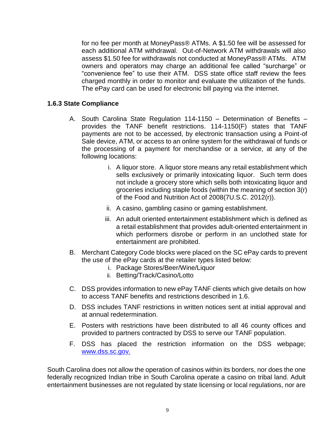for no fee per month at MoneyPass® ATMs. A \$1.50 fee will be assessed for each additional ATM withdrawal. Out-of-Network ATM withdrawals will also assess \$1.50 fee for withdrawals not conducted at MoneyPass® ATMs. ATM owners and operators may charge an additional fee called "surcharge" or "convenience fee" to use their ATM. DSS state office staff review the fees charged monthly in order to monitor and evaluate the utilization of the funds. The ePay card can be used for electronic bill paying via the internet.

#### **1.6.3 State Compliance**

- A. South Carolina State Regulation 114-1150 Determination of Benefits provides the TANF benefit restrictions. 114-1150(F) states that TANF payments are not to be accessed, by electronic transaction using a Point-of Sale device, ATM, or access to an online system for the withdrawal of funds or the processing of a payment for merchandise or a service, at any of the following locations:
	- i. A liquor store. A liquor store means any retail establishment which sells exclusively or primarily intoxicating liquor. Such term does not include a grocery store which sells both intoxicating liquor and groceries including staple foods (within the meaning of section 3(r) of the Food and Nutrition Act of 2008(7U.S.C. 2012(r)).
	- ii. A casino, gambling casino or gaming establishment.
	- iii. An adult oriented entertainment establishment which is defined as a retail establishment that provides adult-oriented entertainment in which performers disrobe or perform in an unclothed state for entertainment are prohibited.
- B. Merchant Category Code blocks were placed on the SC ePay cards to prevent the use of the ePay cards at the retailer types listed below:
	- i. Package Stores/Beer/Wine/Liquor
	- ii. Betting/Track/Casino/Lotto
- C. DSS provides information to new ePay TANF clients which give details on how to access TANF benefits and restrictions described in 1.6.
- D. DSS includes TANF restrictions in written notices sent at initial approval and at annual redetermination.
- E. Posters with restrictions have been distributed to all 46 county offices and provided to partners contracted by DSS to serve our TANF population.
- F. DSS has placed the restriction information on the DSS webpage; [www.dss.sc.gov.](http://www.dss.sc.gov/)

South Carolina does not allow the operation of casinos within its borders, nor does the one federally recognized Indian tribe in South Carolina operate a casino on tribal land. Adult entertainment businesses are not regulated by state licensing or local regulations, nor are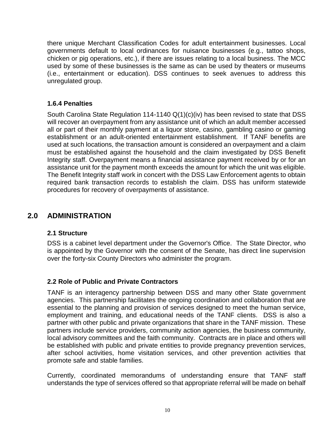there unique Merchant Classification Codes for adult entertainment businesses. Local governments default to local ordinances for nuisance businesses (e.g., tattoo shops, chicken or pig operations, etc.), if there are issues relating to a local business. The MCC used by some of these businesses is the same as can be used by theaters or museums (i.e., entertainment or education). DSS continues to seek avenues to address this unregulated group.

#### **1.6.4 Penalties**

South Carolina State Regulation 114-1140 Q(1)(c)(iv) has been revised to state that DSS will recover an overpayment from any assistance unit of which an adult member accessed all or part of their monthly payment at a liquor store, casino, gambling casino or gaming establishment or an adult-oriented entertainment establishment. If TANF benefits are used at such locations, the transaction amount is considered an overpayment and a claim must be established against the household and the claim investigated by DSS Benefit Integrity staff. Overpayment means a financial assistance payment received by or for an assistance unit for the payment month exceeds the amount for which the unit was eligible. The Benefit Integrity staff work in concert with the DSS Law Enforcement agents to obtain required bank transaction records to establish the claim. DSS has uniform statewide procedures for recovery of overpayments of assistance.

## **2.0 ADMINISTRATION**

#### **2.1 Structure**

DSS is a cabinet level department under the Governor's Office. The State Director, who is appointed by the Governor with the consent of the Senate, has direct line supervision over the forty-six County Directors who administer the program.

#### **2.2 Role of Public and Private Contractors**

TANF is an interagency partnership between DSS and many other State government agencies. This partnership facilitates the ongoing coordination and collaboration that are essential to the planning and provision of services designed to meet the human service, employment and training, and educational needs of the TANF clients. DSS is also a partner with other public and private organizations that share in the TANF mission. These partners include service providers, community action agencies, the business community, local advisory committees and the faith community. Contracts are in place and others will be established with public and private entities to provide pregnancy prevention services, after school activities, home visitation services, and other prevention activities that promote safe and stable families.

Currently, coordinated memorandums of understanding ensure that TANF staff understands the type of services offered so that appropriate referral will be made on behalf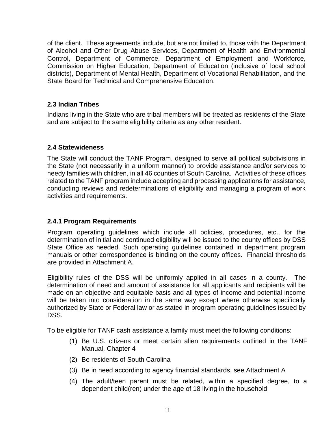of the client. These agreements include, but are not limited to, those with the Department of Alcohol and Other Drug Abuse Services, Department of Health and Environmental Control, Department of Commerce, Department of Employment and Workforce, Commission on Higher Education, Department of Education (inclusive of local school districts), Department of Mental Health, Department of Vocational Rehabilitation, and the State Board for Technical and Comprehensive Education.

#### **2.3 Indian Tribes**

Indians living in the State who are tribal members will be treated as residents of the State and are subject to the same eligibility criteria as any other resident.

#### **2.4 Statewideness**

The State will conduct the TANF Program, designed to serve all political subdivisions in the State (not necessarily in a uniform manner) to provide assistance and/or services to needy families with children, in all 46 counties of South Carolina. Activities of these offices related to the TANF program include accepting and processing applications for assistance, conducting reviews and redeterminations of eligibility and managing a program of work activities and requirements.

#### **2.4.1 Program Requirements**

Program operating guidelines which include all policies, procedures, etc., for the determination of initial and continued eligibility will be issued to the county offices by DSS State Office as needed. Such operating guidelines contained in department program manuals or other correspondence is binding on the county offices. Financial thresholds are provided in Attachment A.

Eligibility rules of the DSS will be uniformly applied in all cases in a county. The determination of need and amount of assistance for all applicants and recipients will be made on an objective and equitable basis and all types of income and potential income will be taken into consideration in the same way except where otherwise specifically authorized by State or Federal law or as stated in program operating guidelines issued by DSS.

To be eligible for TANF cash assistance a family must meet the following conditions:

- (1) Be U.S. citizens or meet certain alien requirements outlined in the TANF Manual, Chapter 4
- (2) Be residents of South Carolina
- (3) Be in need according to agency financial standards, see Attachment A
- (4) The adult/teen parent must be related, within a specified degree, to a dependent child(ren) under the age of 18 living in the household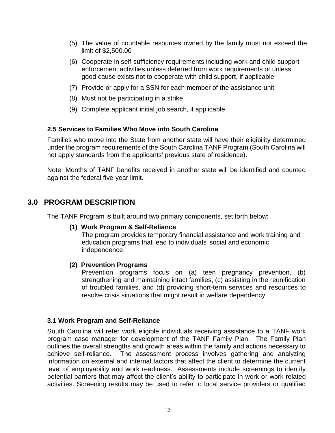- (5) The value of countable resources owned by the family must not exceed the limit of \$2,500.00
- (6) Cooperate in self-sufficiency requirements including work and child support enforcement activities unless deferred from work requirements or unless good cause exists not to cooperate with child support, if applicable
- (7) Provide or apply for a SSN for each member of the assistance unit
- (8) Must not be participating in a strike
- (9) Complete applicant initial job search, if applicable

#### **2.5 Services to Families Who Move into South Carolina**

Families who move into the State from another state will have their eligibility determined under the program requirements of the South Carolina TANF Program (South Carolina will not apply standards from the applicants' previous state of residence).

Note: Months of TANF benefits received in another state will be identified and counted against the federal five-year limit.

### **3.0 PROGRAM DESCRIPTION**

The TANF Program is built around two primary components, set forth below:

#### **(1) Work Program & Self-Reliance**

The program provides temporary financial assistance and work training and education programs that lead to individuals' social and economic independence.

#### **(2) Prevention Programs**

Prevention programs focus on (a) teen pregnancy prevention, (b) strengthening and maintaining intact families, (c) assisting in the reunification of troubled families, and (d) providing short-term services and resources to resolve crisis situations that might result in welfare dependency.

#### **3.1 Work Program and Self-Reliance**

South Carolina will refer work eligible individuals receiving assistance to a TANF work program case manager for development of the TANF Family Plan. The Family Plan outlines the overall strengths and growth areas within the family and actions necessary to achieve self-reliance. The assessment process involves gathering and analyzing information on external and internal factors that affect the client to determine the current level of employability and work readiness. Assessments include screenings to identify potential barriers that may affect the client's ability to participate in work or work-related activities. Screening results may be used to refer to local service providers or qualified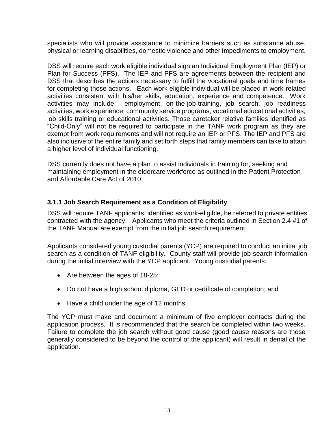specialists who will provide assistance to minimize barriers such as substance abuse, physical or learning disabilities, domestic violence and other impediments to employment.

DSS will require each work eligible individual sign an Individual Employment Plan (IEP) or Plan for Success (PFS). The IEP and PFS are agreements between the recipient and DSS that describes the actions necessary to fulfill the vocational goals and time frames for completing those actions. Each work eligible individual will be placed in work-related activities consistent with his/her skills, education, experience and competence. Work activities may include: employment, on-the-job-training, job search, job readiness activities, work experience, community service programs, vocational educational activities, job skills training or educational activities. Those caretaker relative families identified as "Child-Only" will not be required to participate in the TANF work program as they are exempt from work requirements and will not require an IEP or PFS. The IEP and PFS are also inclusive of the entire family and set forth steps that family members can take to attain a higher level of individual functioning.

DSS currently does not have a plan to assist individuals in training for, seeking and maintaining employment in the eldercare workforce as outlined in the Patient Protection and Affordable Care Act of 2010.

#### **3.1.1 Job Search Requirement as a Condition of Eligibility**

DSS will require TANF applicants, identified as work-eligible, be referred to private entities contracted with the agency. Applicants who meet the criteria outlined in Section 2.4 #1 of the TANF Manual are exempt from the initial job search requirement.

Applicants considered young custodial parents (YCP) are required to conduct an initial job search as a condition of TANF eligibility. County staff will provide job search information during the initial interview with the YCP applicant. Young custodial parents:

- Are between the ages of 18-25;
- Do not have a high school diploma, GED or certificate of completion; and
- Have a child under the age of 12 months.

The YCP must make and document a minimum of five employer contacts during the application process. It is recommended that the search be completed within two weeks. Failure to complete the job search without good cause (good cause reasons are those generally considered to be beyond the control of the applicant) will result in denial of the application.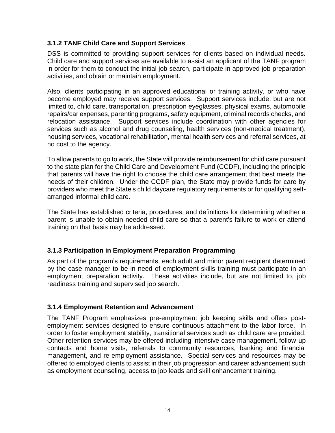#### **3.1.2 TANF Child Care and Support Services**

DSS is committed to providing support services for clients based on individual needs. Child care and support services are available to assist an applicant of the TANF program in order for them to conduct the initial job search, participate in approved job preparation activities, and obtain or maintain employment.

Also, clients participating in an approved educational or training activity, or who have become employed may receive support services. Support services include, but are not limited to, child care, transportation, prescription eyeglasses, physical exams, automobile repairs/car expenses, parenting programs, safety equipment, criminal records checks, and relocation assistance. Support services include coordination with other agencies for services such as alcohol and drug counseling, health services (non-medical treatment), housing services, vocational rehabilitation, mental health services and referral services, at no cost to the agency.

To allow parents to go to work, the State will provide reimbursement for child care pursuant to the state plan for the Child Care and Development Fund (CCDF), including the principle that parents will have the right to choose the child care arrangement that best meets the needs of their children. Under the CCDF plan, the State may provide funds for care by providers who meet the State's child daycare regulatory requirements or for qualifying selfarranged informal child care.

The State has established criteria, procedures, and definitions for determining whether a parent is unable to obtain needed child care so that a parent's failure to work or attend training on that basis may be addressed.

## **3.1.3 Participation in Employment Preparation Programming**

As part of the program's requirements, each adult and minor parent recipient determined by the case manager to be in need of employment skills training must participate in an employment preparation activity. These activities include, but are not limited to, job readiness training and supervised job search.

#### **3.1.4 Employment Retention and Advancement**

The TANF Program emphasizes pre-employment job keeping skills and offers postemployment services designed to ensure continuous attachment to the labor force. In order to foster employment stability, transitional services such as child care are provided. Other retention services may be offered including intensive case management, follow-up contacts and home visits, referrals to community resources, banking and financial management, and re-employment assistance. Special services and resources may be offered to employed clients to assist in their job progression and career advancement such as employment counseling, access to job leads and skill enhancement training.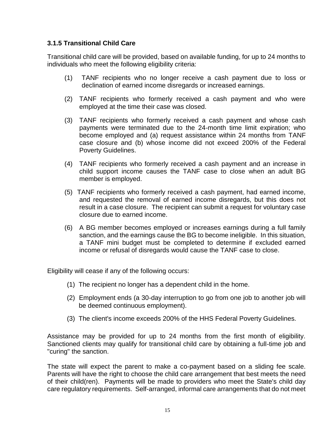#### **3.1.5 Transitional Child Care**

Transitional child care will be provided, based on available funding, for up to 24 months to individuals who meet the following eligibility criteria:

- (1) TANF recipients who no longer receive a cash payment due to loss or declination of earned income disregards or increased earnings.
- (2) TANF recipients who formerly received a cash payment and who were employed at the time their case was closed.
- (3) TANF recipients who formerly received a cash payment and whose cash payments were terminated due to the 24-month time limit expiration; who become employed and (a) request assistance within 24 months from TANF case closure and (b) whose income did not exceed 200% of the Federal Poverty Guidelines.
- (4) TANF recipients who formerly received a cash payment and an increase in child support income causes the TANF case to close when an adult BG member is employed.
- (5) TANF recipients who formerly received a cash payment, had earned income, and requested the removal of earned income disregards, but this does not result in a case closure. The recipient can submit a request for voluntary case closure due to earned income.
- (6) A BG member becomes employed or increases earnings during a full family sanction, and the earnings cause the BG to become ineligible. In this situation, a TANF mini budget must be completed to determine if excluded earned income or refusal of disregards would cause the TANF case to close.

Eligibility will cease if any of the following occurs:

- (1) The recipient no longer has a dependent child in the home.
- (2) Employment ends (a 30-day interruption to go from one job to another job will be deemed continuous employment).
- (3) The client's income exceeds 200% of the HHS Federal Poverty Guidelines.

Assistance may be provided for up to 24 months from the first month of eligibility. Sanctioned clients may qualify for transitional child care by obtaining a full-time job and "curing" the sanction.

The state will expect the parent to make a co-payment based on a sliding fee scale. Parents will have the right to choose the child care arrangement that best meets the need of their child(ren). Payments will be made to providers who meet the State's child day care regulatory requirements. Self-arranged, informal care arrangements that do not meet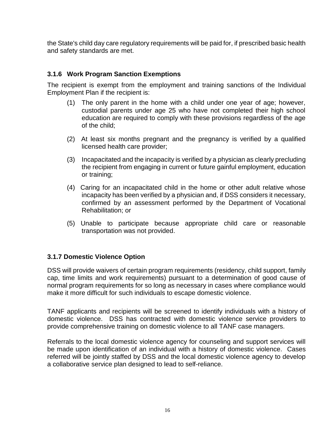the State's child day care regulatory requirements will be paid for, if prescribed basic health and safety standards are met.

#### **3.1.6 Work Program Sanction Exemptions**

The recipient is exempt from the employment and training sanctions of the Individual Employment Plan if the recipient is:

- (1) The only parent in the home with a child under one year of age; however, custodial parents under age 25 who have not completed their high school education are required to comply with these provisions regardless of the age of the child;
- (2) At least six months pregnant and the pregnancy is verified by a qualified licensed health care provider;
- (3) Incapacitated and the incapacity is verified by a physician as clearly precluding the recipient from engaging in current or future gainful employment, education or training;
- (4) Caring for an incapacitated child in the home or other adult relative whose incapacity has been verified by a physician and, if DSS considers it necessary, confirmed by an assessment performed by the Department of Vocational Rehabilitation; or
- (5) Unable to participate because appropriate child care or reasonable transportation was not provided.

#### **3.1.7 Domestic Violence Option**

DSS will provide waivers of certain program requirements (residency, child support, family cap, time limits and work requirements) pursuant to a determination of good cause of normal program requirements for so long as necessary in cases where compliance would make it more difficult for such individuals to escape domestic violence.

TANF applicants and recipients will be screened to identify individuals with a history of domestic violence. DSS has contracted with domestic violence service providers to provide comprehensive training on domestic violence to all TANF case managers.

Referrals to the local domestic violence agency for counseling and support services will be made upon identification of an individual with a history of domestic violence. Cases referred will be jointly staffed by DSS and the local domestic violence agency to develop a collaborative service plan designed to lead to self-reliance.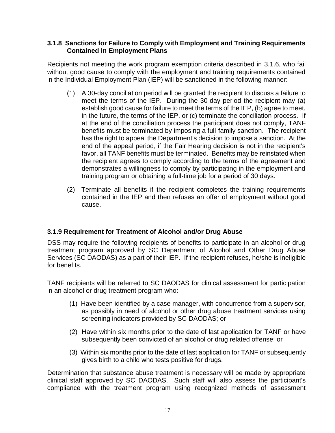#### **3.1.8 Sanctions for Failure to Comply with Employment and Training Requirements Contained in Employment Plans**

Recipients not meeting the work program exemption criteria described in 3.1.6, who fail without good cause to comply with the employment and training requirements contained in the Individual Employment Plan (IEP) will be sanctioned in the following manner:

- (1) A 30-day conciliation period will be granted the recipient to discuss a failure to meet the terms of the IEP. During the 30-day period the recipient may (a) establish good cause for failure to meet the terms of the IEP, (b) agree to meet, in the future, the terms of the IEP, or (c) terminate the conciliation process. If at the end of the conciliation process the participant does not comply, TANF benefits must be terminated by imposing a full-family sanction. The recipient has the right to appeal the Department's decision to impose a sanction. At the end of the appeal period, if the Fair Hearing decision is not in the recipient's favor, all TANF benefits must be terminated. Benefits may be reinstated when the recipient agrees to comply according to the terms of the agreement and demonstrates a willingness to comply by participating in the employment and training program or obtaining a full-time job for a period of 30 days.
- (2) Terminate all benefits if the recipient completes the training requirements contained in the IEP and then refuses an offer of employment without good cause.

#### **3.1.9 Requirement for Treatment of Alcohol and/or Drug Abuse**

DSS may require the following recipients of benefits to participate in an alcohol or drug treatment program approved by SC Department of Alcohol and Other Drug Abuse Services (SC DAODAS) as a part of their IEP. If the recipient refuses, he/she is ineligible for benefits.

TANF recipients will be referred to SC DAODAS for clinical assessment for participation in an alcohol or drug treatment program who:

- (1) Have been identified by a case manager, with concurrence from a supervisor, as possibly in need of alcohol or other drug abuse treatment services using screening indicators provided by SC DAODAS; or
- (2) Have within six months prior to the date of last application for TANF or have subsequently been convicted of an alcohol or drug related offense; or
- (3) Within six months prior to the date of last application for TANF or subsequently gives birth to a child who tests positive for drugs.

Determination that substance abuse treatment is necessary will be made by appropriate clinical staff approved by SC DAODAS. Such staff will also assess the participant's compliance with the treatment program using recognized methods of assessment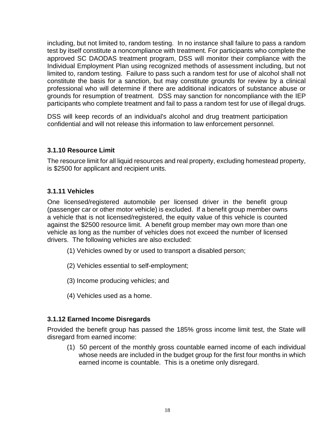including, but not limited to, random testing. In no instance shall failure to pass a random test by itself constitute a noncompliance with treatment. For participants who complete the approved SC DAODAS treatment program, DSS will monitor their compliance with the Individual Employment Plan using recognized methods of assessment including, but not limited to, random testing. Failure to pass such a random test for use of alcohol shall not constitute the basis for a sanction, but may constitute grounds for review by a clinical professional who will determine if there are additional indicators of substance abuse or grounds for resumption of treatment. DSS may sanction for noncompliance with the IEP participants who complete treatment and fail to pass a random test for use of illegal drugs.

DSS will keep records of an individual's alcohol and drug treatment participation confidential and will not release this information to law enforcement personnel.

#### **3.1.10 Resource Limit**

The resource limit for all liquid resources and real property, excluding homestead property, is \$2500 for applicant and recipient units.

#### **3.1.11 Vehicles**

One licensed/registered automobile per licensed driver in the benefit group (passenger car or other motor vehicle) is excluded. If a benefit group member owns a vehicle that is not licensed/registered, the equity value of this vehicle is counted against the \$2500 resource limit. A benefit group member may own more than one vehicle as long as the number of vehicles does not exceed the number of licensed drivers. The following vehicles are also excluded:

- (1) Vehicles owned by or used to transport a disabled person;
- (2) Vehicles essential to self-employment;
- (3) Income producing vehicles; and
- (4) Vehicles used as a home.

#### **3.1.12 Earned Income Disregards**

Provided the benefit group has passed the 185% gross income limit test, the State will disregard from earned income:

(1) 50 percent of the monthly gross countable earned income of each individual whose needs are included in the budget group for the first four months in which earned income is countable. This is a onetime only disregard.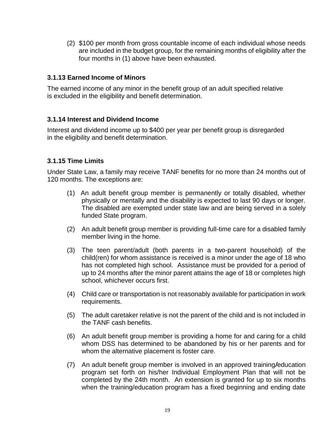(2) \$100 per month from gross countable income of each individual whose needs are included in the budget group, for the remaining months of eligibility after the four months in (1) above have been exhausted.

#### **3.1.13 Earned Income of Minors**

The earned income of any minor in the benefit group of an adult specified relative is excluded in the eligibility and benefit determination.

#### **3.1.14 Interest and Dividend Income**

Interest and dividend income up to \$400 per year per benefit group is disregarded in the eligibility and benefit determination.

#### **3.1.15 Time Limits**

Under State Law, a family may receive TANF benefits for no more than 24 months out of 120 months. The exceptions are:

- (1) An adult benefit group member is permanently or totally disabled, whether physically or mentally and the disability is expected to last 90 days or longer. The disabled are exempted under state law and are being served in a solely funded State program.
- (2) An adult benefit group member is providing full-time care for a disabled family member living in the home.
- (3) The teen parent/adult (both parents in a two-parent household) of the child(ren) for whom assistance is received is a minor under the age of 18 who has not completed high school. Assistance must be provided for a period of up to 24 months after the minor parent attains the age of 18 or completes high school, whichever occurs first.
- (4) Child care or transportation is not reasonably available for participation in work requirements.
- (5) The adult caretaker relative is not the parent of the child and is not included in the TANF cash benefits.
- (6) An adult benefit group member is providing a home for and caring for a child whom DSS has determined to be abandoned by his or her parents and for whom the alternative placement is foster care.
- (7) An adult benefit group member is involved in an approved training*/*education program set forth on his/her Individual Employment Plan that will not be completed by the 24th month. An extension is granted for up to six months when the training/education program has a fixed beginning and ending date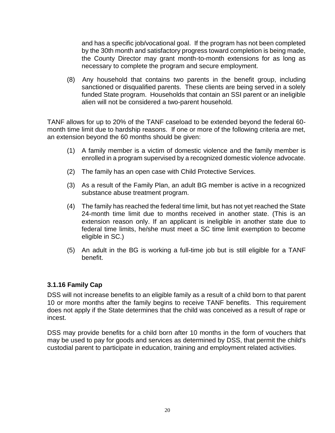and has a specific job/vocational goal. If the program has not been completed by the 30th month and satisfactory progress toward completion is being made, the County Director may grant month-to-month extensions for as long as necessary to complete the program and secure employment.

(8) Any household that contains two parents in the benefit group, including sanctioned or disqualified parents. These clients are being served in a solely funded State program. Households that contain an SSI parent or an ineligible alien will not be considered a two-parent household.

TANF allows for up to 20% of the TANF caseload to be extended beyond the federal 60 month time limit due to hardship reasons. If one or more of the following criteria are met, an extension beyond the 60 months should be given:

- (1) A family member is a victim of domestic violence and the family member is enrolled in a program supervised by a recognized domestic violence advocate.
- (2) The family has an open case with Child Protective Services.
- (3) As a result of the Family Plan, an adult BG member is active in a recognized substance abuse treatment program.
- (4) The family has reached the federal time limit, but has not yet reached the State 24-month time limit due to months received in another state. (This is an extension reason only. If an applicant is ineligible in another state due to federal time limits, he/she must meet a SC time limit exemption to become eligible in SC.)
- (5) An adult in the BG is working a full-time job but is still eligible for a TANF benefit.

#### **3.1.16 Family Cap**

DSS will not increase benefits to an eligible family as a result of a child born to that parent 10 or more months after the family begins to receive TANF benefits. This requirement does not apply if the State determines that the child was conceived as a result of rape or incest.

DSS may provide benefits for a child born after 10 months in the form of vouchers that may be used to pay for goods and services as determined by DSS, that permit the child's custodial parent to participate in education, training and employment related activities.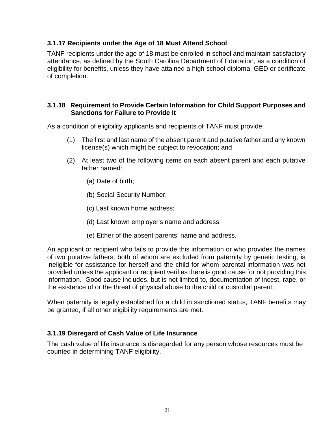#### **3.1.17 Recipients under the Age of 18 Must Attend School**

TANF recipients under the age of 18 must be enrolled in school and maintain satisfactory attendance, as defined by the South Carolina Department of Education, as a condition of eligibility for benefits, unless they have attained a high school diploma, GED or certificate of completion.

#### **3.1.18 Requirement to Provide Certain Information for Child Support Purposes and Sanctions for Failure to Provide It**

As a condition of eligibility applicants and recipients of TANF must provide:

- (1) The first and last name of the absent parent and putative father and any known license(s) which might be subject to revocation; and
- (2) At least two of the following items on each absent parent and each putative father named:
	- (a) Date of birth;
	- (b) Social Security Number;
	- (c) Last known home address;
	- (d) Last known employer's name and address;
	- (e) Either of the absent parents' name and address.

An applicant or recipient who fails to provide this information or who provides the names of two putative fathers, both of whom are excluded from paternity by genetic testing, is ineligible for assistance for herself and the child for whom parental information was not provided unless the applicant or recipient verifies there is good cause for not providing this information. Good cause includes, but is not limited to, documentation of incest, rape, or the existence of or the threat of physical abuse to the child or custodial parent.

When paternity is legally established for a child in sanctioned status, TANF benefits may be granted, if all other eligibility requirements are met.

#### **3.1.19 Disregard of Cash Value of Life Insurance**

The cash value of life insurance is disregarded for any person whose resources must be counted in determining TANF eligibility.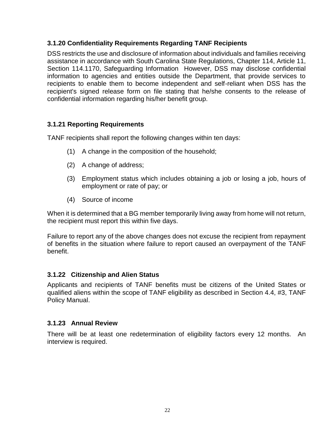#### **3.1.20 Confidentiality Requirements Regarding TANF Recipients**

DSS restricts the use and disclosure of information about individuals and families receiving assistance in accordance with South Carolina State Regulations, Chapter 114, Article 11, Section 114.1170, Safeguarding Information However, DSS may disclose confidential information to agencies and entities outside the Department, that provide services to recipients to enable them to become independent and self-reliant when DSS has the recipient's signed release form on file stating that he/she consents to the release of confidential information regarding his/her benefit group.

#### **3.1.21 Reporting Requirements**

TANF recipients shall report the following changes within ten days:

- (1) A change in the composition of the household;
- (2) A change of address;
- (3) Employment status which includes obtaining a job or losing a job, hours of employment or rate of pay; or
- (4) Source of income

When it is determined that a BG member temporarily living away from home will not return, the recipient must report this within five days.

Failure to report any of the above changes does not excuse the recipient from repayment of benefits in the situation where failure to report caused an overpayment of the TANF benefit.

#### **3.1.22 Citizenship and Alien Status**

Applicants and recipients of TANF benefits must be citizens of the United States or qualified aliens within the scope of TANF eligibility as described in Section 4.4, #3, TANF Policy Manual.

#### **3.1.23 Annual Review**

There will be at least one redetermination of eligibility factors every 12 months. An interview is required.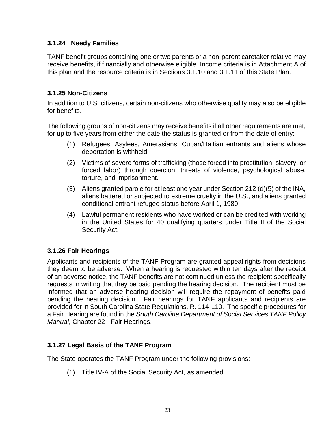#### **3.1.24 Needy Families**

TANF benefit groups containing one or two parents or a non-parent caretaker relative may receive benefits, if financially and otherwise eligible. Income criteria is in Attachment A of this plan and the resource criteria is in Sections 3.1.10 and 3.1.11 of this State Plan.

#### **3.1.25 Non-Citizens**

In addition to U.S. citizens, certain non-citizens who otherwise qualify may also be eligible for benefits.

The following groups of non-citizens may receive benefits if all other requirements are met, for up to five years from either the date the status is granted or from the date of entry:

- (1) Refugees, Asylees, Amerasians, Cuban/Haitian entrants and aliens whose deportation is withheld.
- (2) Victims of severe forms of trafficking (those forced into prostitution, slavery, or forced labor) through coercion, threats of violence, psychological abuse, torture, and imprisonment.
- (3) Aliens granted parole for at least one year under Section 212 (d)(5) of the INA, aliens battered or subjected to extreme cruelty in the U.S., and aliens granted conditional entrant refugee status before April 1, 1980.
- (4) Lawful permanent residents who have worked or can be credited with working in the United States for 40 qualifying quarters under Title II of the Social Security Act.

## **3.1.26 Fair Hearings**

Applicants and recipients of the TANF Program are granted appeal rights from decisions they deem to be adverse. When a hearing is requested within ten days after the receipt of an adverse notice, the TANF benefits are not continued unless the recipient specifically requests in writing that they be paid pending the hearing decision. The recipient must be informed that an adverse hearing decision will require the repayment of benefits paid pending the hearing decision. Fair hearings for TANF applicants and recipients are provided for in South Carolina State Regulations, R. 114-110. The specific procedures for a Fair Hearing are found in the *South Carolina Department of Social Services TANF Policy Manual*, Chapter 22 - Fair Hearings.

## **3.1.27 Legal Basis of the TANF Program**

The State operates the TANF Program under the following provisions:

(1) Title IV-A of the Social Security Act, as amended.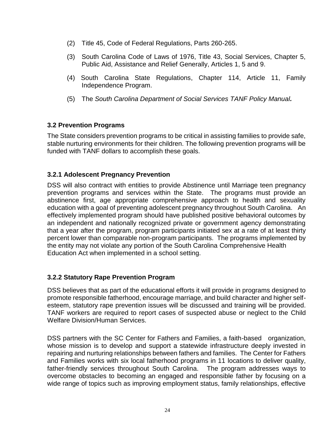- (2) Title 45, Code of Federal Regulations, Parts 260-265.
- (3) South Carolina Code of Laws of 1976, Title 43, Social Services, Chapter 5, Public Aid, Assistance and Relief Generally, Articles 1, 5 and 9.
- (4) South Carolina State Regulations, Chapter 114, Article 11, Family Independence Program.
- (5) The *South Carolina Department of Social Services TANF Policy Manual.*

#### **3.2 Prevention Programs**

The State considers prevention programs to be critical in assisting families to provide safe, stable nurturing environments for their children. The following prevention programs will be funded with TANF dollars to accomplish these goals.

#### **3.2.1 Adolescent Pregnancy Prevention**

DSS will also contract with entities to provide Abstinence until Marriage teen pregnancy prevention programs and services within the State. The programs must provide an abstinence first, age appropriate comprehensive approach to health and sexuality education with a goal of preventing adolescent pregnancy throughout South Carolina. An effectively implemented program should have published positive behavioral outcomes by an independent and nationally recognized private or government agency demonstrating that a year after the program, program participants initiated sex at a rate of at least thirty percent lower than comparable non-program participants. The programs implemented by the entity may not violate any portion of the South Carolina Comprehensive Health Education Act when implemented in a school setting.

#### **3.2.2 Statutory Rape Prevention Program**

DSS believes that as part of the educational efforts it will provide in programs designed to promote responsible fatherhood, encourage marriage, and build character and higher selfesteem, statutory rape prevention issues will be discussed and training will be provided. TANF workers are required to report cases of suspected abuse or neglect to the Child Welfare Division/Human Services.

DSS partners with the SC Center for Fathers and Families, a faith-based organization, whose mission is to develop and support a statewide infrastructure deeply invested in repairing and nurturing relationships between fathers and families. The Center for Fathers and Families works with six local fatherhood programs in 11 locations to deliver quality, father-friendly services throughout South Carolina. The program addresses ways to overcome obstacles to becoming an engaged and responsible father by focusing on a wide range of topics such as improving employment status, family relationships, effective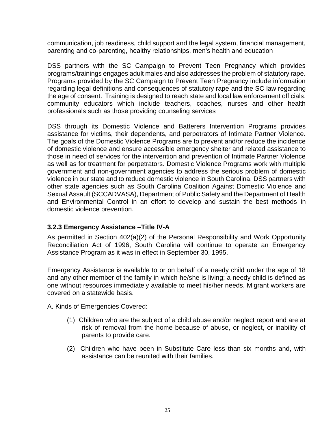communication, job readiness, child support and the legal system, financial management, parenting and co-parenting, healthy relationships, men's health and education

DSS partners with the SC Campaign to Prevent Teen Pregnancy which provides programs/trainings engages adult males and also addresses the problem of statutory rape. Programs provided by the SC Campaign to Prevent Teen Pregnancy include information regarding legal definitions and consequences of statutory rape and the SC law regarding the age of consent. Training is designed to reach state and local law enforcement officials, community educators which include teachers, coaches, nurses and other health professionals such as those providing counseling services

DSS through its Domestic Violence and Batterers Intervention Programs provides assistance for victims, their dependents, and perpetrators of Intimate Partner Violence. The goals of the Domestic Violence Programs are to prevent and/or reduce the incidence of domestic violence and ensure accessible emergency shelter and related assistance to those in need of services for the intervention and prevention of Intimate Partner Violence as well as for treatment for perpetrators. Domestic Violence Programs work with multiple government and non-government agencies to address the serious problem of domestic violence in our state and to reduce domestic violence in South Carolina. DSS partners with other state agencies such as South Carolina Coalition Against Domestic Violence and Sexual Assault (SCCADVASA), Department of Public Safety and the Department of Health and Environmental Control in an effort to develop and sustain the best methods in domestic violence prevention.

#### **3.2.3 Emergency Assistance –Title IV-A**

As permitted in Section 402(a)(2) of the Personal Responsibility and Work Opportunity Reconciliation Act of 1996, South Carolina will continue to operate an Emergency Assistance Program as it was in effect in September 30, 1995.

Emergency Assistance is available to or on behalf of a needy child under the age of 18 and any other member of the family in which he/she is living; a needy child is defined as one without resources immediately available to meet his/her needs. Migrant workers are covered on a statewide basis.

A. Kinds of Emergencies Covered:

- (1) Children who are the subject of a child abuse and/or neglect report and are at risk of removal from the home because of abuse, or neglect, or inability of parents to provide care.
- (2) Children who have been in Substitute Care less than six months and, with assistance can be reunited with their families.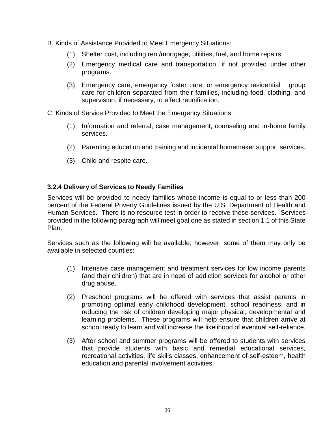- B. Kinds of Assistance Provided to Meet Emergency Situations:
	- (1) Shelter cost, including rent/mortgage, utilities, fuel, and home repairs.
	- (2) Emergency medical care and transportation, if not provided under other programs.
	- (3) Emergency care, emergency foster care, or emergency residential group care for children separated from their families, including food, clothing, and supervision, if necessary, to effect reunification.

C. Kinds of Service Provided to Meet the Emergency Situations:

- (1) Information and referral, case management, counseling and in-home family services.
- (2) Parenting education and training and incidental homemaker support services.
- (3) Child and respite care.

#### **3.2.4 Delivery of Services to Needy Families**

Services will be provided to needy families whose income is equal to or less than 200 percent of the Federal Poverty Guidelines issued by the U.S. Department of Health and Human Services. There is no resource test in order to receive these services. Services provided in the following paragraph will meet goal one as stated in section 1.1 of this State Plan.

Services such as the following will be available; however, some of them may only be available in selected counties:

- (1) Intensive case management and treatment services for low income parents (and their children) that are in need of addiction services for alcohol or other drug abuse.
- (2) Preschool programs will be offered with services that assist parents in promoting optimal early childhood development, school readiness, and in reducing the risk of children developing major physical, developmental and learning problems. These programs will help ensure that children arrive at school ready to learn and will increase the likelihood of eventual self-reliance.
- (3) After school and summer programs will be offered to students with services that provide students with basic and remedial educational services, recreational activities, life skills classes, enhancement of self-esteem, health education and parental involvement activities.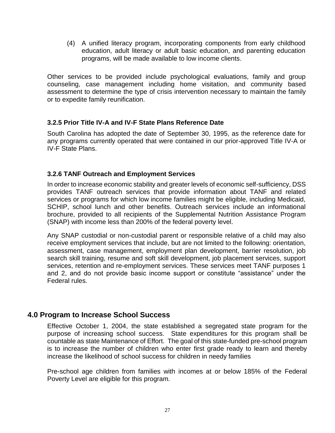(4) A unified literacy program, incorporating components from early childhood education, adult literacy or adult basic education, and parenting education programs, will be made available to low income clients.

Other services to be provided include psychological evaluations, family and group counseling, case management including home visitation, and community based assessment to determine the type of crisis intervention necessary to maintain the family or to expedite family reunification.

#### **3.2.5 Prior Title IV-A and IV-F State Plans Reference Date**

South Carolina has adopted the date of September 30, 1995, as the reference date for any programs currently operated that were contained in our prior-approved Title IV-A or IV-F State Plans.

#### **3.2.6 TANF Outreach and Employment Services**

In order to increase economic stability and greater levels of economic self-sufficiency, DSS provides TANF outreach services that provide information about TANF and related services or programs for which low income families might be eligible, including Medicaid, SCHIP, school lunch and other benefits. Outreach services include an informational brochure, provided to all recipients of the Supplemental Nutrition Assistance Program (SNAP) with income less than 200% of the federal poverty level.

Any SNAP custodial or non-custodial parent or responsible relative of a child may also receive employment services that include, but are not limited to the following: orientation, assessment, case management, employment plan development, barrier resolution, job search skill training, resume and soft skill development, job placement services, support services, retention and re-employment services. These services meet TANF purposes 1 and 2, and do not provide basic income support or constitute "assistance" under the Federal rules.

## **4.0 Program to Increase School Success**

Effective October 1, 2004, the state established a segregated state program for the purpose of increasing school success. State expenditures for this program shall be countable as state Maintenance of Effort. The goal of this state-funded pre-school program is to increase the number of children who enter first grade ready to learn and thereby increase the likelihood of school success for children in needy families

Pre-school age children from families with incomes at or below 185% of the Federal Poverty Level are eligible for this program.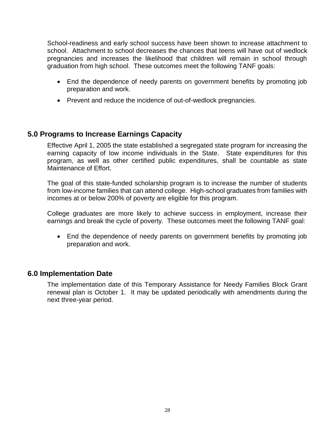School-readiness and early school success have been shown to increase attachment to school. Attachment to school decreases the chances that teens will have out of wedlock pregnancies and increases the likelihood that children will remain in school through graduation from high school. These outcomes meet the following TANF goals:

- End the dependence of needy parents on government benefits by promoting job preparation and work.
- Prevent and reduce the incidence of out-of-wedlock pregnancies.

#### **5.0 Programs to Increase Earnings Capacity**

Effective April 1, 2005 the state established a segregated state program for increasing the earning capacity of low income individuals in the State. State expenditures for this program, as well as other certified public expenditures, shall be countable as state Maintenance of Effort.

The goal of this state-funded scholarship program is to increase the number of students from low-income families that can attend college. High-school graduates from families with incomes at or below 200% of poverty are eligible for this program.

College graduates are more likely to achieve success in employment, increase their earnings and break the cycle of poverty. These outcomes meet the following TANF goal:

• End the dependence of needy parents on government benefits by promoting job preparation and work.

#### **6.0 Implementation Date**

The implementation date of this Temporary Assistance for Needy Families Block Grant renewal plan is October 1. It may be updated periodically with amendments during the next three-year period.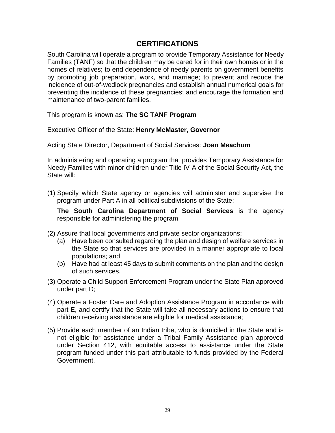## **CERTIFICATIONS**

South Carolina will operate a program to provide Temporary Assistance for Needy Families (TANF) so that the children may be cared for in their own homes or in the homes of relatives; to end dependence of needy parents on government benefits by promoting job preparation, work, and marriage; to prevent and reduce the incidence of out-of-wedlock pregnancies and establish annual numerical goals for preventing the incidence of these pregnancies; and encourage the formation and maintenance of two-parent families.

This program is known as: **The SC TANF Program**

Executive Officer of the State: **Henry McMaster, Governor**

Acting State Director, Department of Social Services: **Joan Meachum**

In administering and operating a program that provides Temporary Assistance for Needy Families with minor children under Title IV-A of the Social Security Act, the State will:

(1) Specify which State agency or agencies will administer and supervise the program under Part A in all political subdivisions of the State:

**The South Carolina Department of Social Services** is the agency responsible for administering the program;

- (2) Assure that local governments and private sector organizations:
	- (a) Have been consulted regarding the plan and design of welfare services in the State so that services are provided in a manner appropriate to local populations; and
	- (b) Have had at least 45 days to submit comments on the plan and the design of such services.
- (3) Operate a Child Support Enforcement Program under the State Plan approved under part D;
- (4) Operate a Foster Care and Adoption Assistance Program in accordance with part E, and certify that the State will take all necessary actions to ensure that children receiving assistance are eligible for medical assistance;
- (5) Provide each member of an Indian tribe, who is domiciled in the State and is not eligible for assistance under a Tribal Family Assistance plan approved under Section 412, with equitable access to assistance under the State program funded under this part attributable to funds provided by the Federal Government.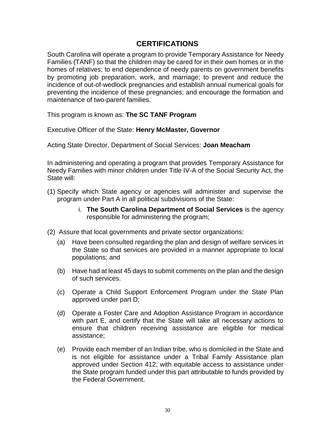## **CERTIFICATIONS**

South Carolina will operate a program to provide Temporary Assistance for Needy Families (TANF) so that the children may be cared for in their own homes or in the homes of relatives; to end dependence of needy parents on government benefits by promoting job preparation, work, and marriage; to prevent and reduce the incidence of out-of-wedlock pregnancies and establish annual numerical goals for preventing the incidence of these pregnancies; and encourage the formation and maintenance of two-parent families.

This program is known as: **The SC TANF Program**

Executive Officer of the State: **Henry McMaster, Governor**

Acting State Director, Department of Social Services: **Joan Meacham**

In administering and operating a program that provides Temporary Assistance for Needy Families with minor children under Title IV-A of the Social Security Act, the State will:

- (1) Specify which State agency or agencies will administer and supervise the program under Part A in all political subdivisions of the State:
	- i. **The South Carolina Department of Social Services** is the agency responsible for administering the program;
- (2) Assure that local governments and private sector organizations:
	- (a) Have been consulted regarding the plan and design of welfare services in the State so that services are provided in a manner appropriate to local populations; and
	- (b) Have had at least 45 days to submit comments on the plan and the design of such services.
	- (c) Operate a Child Support Enforcement Program under the State Plan approved under part D;
	- (d) Operate a Foster Care and Adoption Assistance Program in accordance with part E, and certify that the State will take all necessary actions to ensure that children receiving assistance are eligible for medical assistance;
	- (e) Provide each member of an Indian tribe, who is domiciled in the State and is not eligible for assistance under a Tribal Family Assistance plan approved under Section 412, with equitable access to assistance under the State program funded under this part attributable to funds provided by the Federal Government.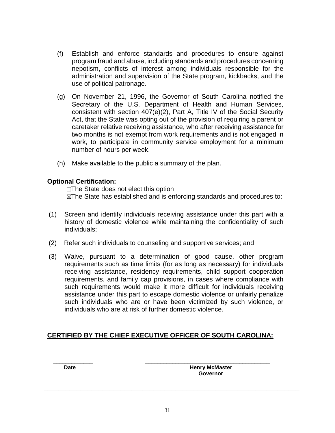- (f) Establish and enforce standards and procedures to ensure against program fraud and abuse, including standards and procedures concerning nepotism, conflicts of interest among individuals responsible for the administration and supervision of the State program, kickbacks, and the use of political patronage.
- (g) On November 21, 1996, the Governor of South Carolina notified the Secretary of the U.S. Department of Health and Human Services, consistent with section 407(e)(2), Part A, Title IV of the Social Security Act, that the State was opting out of the provision of requiring a parent or caretaker relative receiving assistance, who after receiving assistance for two months is not exempt from work requirements and is not engaged in work, to participate in community service employment for a minimum number of hours per week.
- (h) Make available to the public a summary of the plan.

#### **Optional Certification:**

 $\square$ The State does not elect this option The State has established and is enforcing standards and procedures to:

- (1) Screen and identify individuals receiving assistance under this part with a history of domestic violence while maintaining the confidentiality of such individuals;
- (2) Refer such individuals to counseling and supportive services; and
- (3) Waive, pursuant to a determination of good cause, other program requirements such as time limits (for as long as necessary) for individuals receiving assistance, residency requirements, child support cooperation requirements, and family cap provisions, in cases where compliance with such requirements would make it more difficult for individuals receiving assistance under this part to escape domestic violence or unfairly penalize such individuals who are or have been victimized by such violence, or individuals who are at risk of further domestic violence.

#### **CERTIFIED BY THE CHIEF EXECUTIVE OFFICER OF SOUTH CAROLINA:**

 $\frac{1}{2}$  ,  $\frac{1}{2}$  ,  $\frac{1}{2}$  ,  $\frac{1}{2}$  ,  $\frac{1}{2}$  ,  $\frac{1}{2}$  ,  $\frac{1}{2}$  ,  $\frac{1}{2}$  ,  $\frac{1}{2}$  ,  $\frac{1}{2}$  ,  $\frac{1}{2}$  ,  $\frac{1}{2}$  ,  $\frac{1}{2}$  ,  $\frac{1}{2}$  ,  $\frac{1}{2}$  ,  $\frac{1}{2}$  ,  $\frac{1}{2}$  ,  $\frac{1}{2}$  ,  $\frac{1$ **Date Date Henry McMaster Governor**

**\_\_\_\_\_\_\_\_\_\_\_\_\_\_\_\_\_\_\_\_\_\_\_\_\_\_\_\_\_\_\_\_\_\_\_\_\_\_\_\_\_\_\_\_\_\_\_\_\_\_\_\_\_\_\_\_\_\_\_\_\_\_\_\_\_\_\_\_\_\_**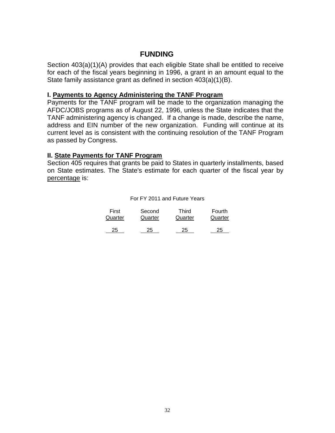#### **FUNDING**

Section 403(a)(1)(A) provides that each eligible State shall be entitled to receive for each of the fiscal years beginning in 1996, a grant in an amount equal to the State family assistance grant as defined in section 403(a)(1)(B).

#### **I. Payments to Agency Administering the TANF Program**

Payments for the TANF program will be made to the organization managing the AFDC/JOBS programs as of August 22, 1996, unless the State indicates that the TANF administering agency is changed. If a change is made, describe the name, address and EIN number of the new organization. Funding will continue at its current level as is consistent with the continuing resolution of the TANF Program as passed by Congress.

#### **II. State Payments for TANF Program**

Section 405 requires that grants be paid to States in quarterly installments, based on State estimates. The State's estimate for each quarter of the fiscal year by percentage is:

#### For FY 2011 and Future Years

| First   | Second  | Third   | Fourth  |
|---------|---------|---------|---------|
| Quarter | Quarter | Quarter | Quarter |
|         |         |         |         |
| 25      | 25      | 25      | 25      |